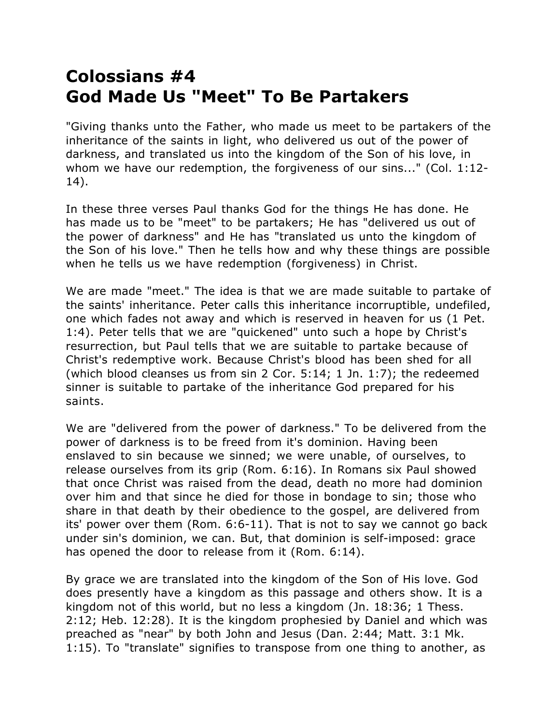## **Colossians #4 God Made Us "Meet" To Be Partakers**

"Giving thanks unto the Father, who made us meet to be partakers of the inheritance of the saints in light, who delivered us out of the power of darkness, and translated us into the kingdom of the Son of his love, in whom we have our redemption, the forgiveness of our sins..." (Col. 1:12- 14).

In these three verses Paul thanks God for the things He has done. He has made us to be "meet" to be partakers; He has "delivered us out of the power of darkness" and He has "translated us unto the kingdom of the Son of his love." Then he tells how and why these things are possible when he tells us we have redemption (forgiveness) in Christ.

We are made "meet." The idea is that we are made suitable to partake of the saints' inheritance. Peter calls this inheritance incorruptible, undefiled, one which fades not away and which is reserved in heaven for us (1 Pet. 1:4). Peter tells that we are "quickened" unto such a hope by Christ's resurrection, but Paul tells that we are suitable to partake because of Christ's redemptive work. Because Christ's blood has been shed for all (which blood cleanses us from sin 2 Cor. 5:14; 1 Jn. 1:7); the redeemed sinner is suitable to partake of the inheritance God prepared for his saints.

We are "delivered from the power of darkness." To be delivered from the power of darkness is to be freed from it's dominion. Having been enslaved to sin because we sinned; we were unable, of ourselves, to release ourselves from its grip (Rom. 6:16). In Romans six Paul showed that once Christ was raised from the dead, death no more had dominion over him and that since he died for those in bondage to sin; those who share in that death by their obedience to the gospel, are delivered from its' power over them (Rom. 6:6-11). That is not to say we cannot go back under sin's dominion, we can. But, that dominion is self-imposed: grace has opened the door to release from it (Rom. 6:14).

By grace we are translated into the kingdom of the Son of His love. God does presently have a kingdom as this passage and others show. It is a kingdom not of this world, but no less a kingdom (Jn. 18:36; 1 Thess. 2:12; Heb. 12:28). It is the kingdom prophesied by Daniel and which was preached as "near" by both John and Jesus (Dan. 2:44; Matt. 3:1 Mk. 1:15). To "translate" signifies to transpose from one thing to another, as